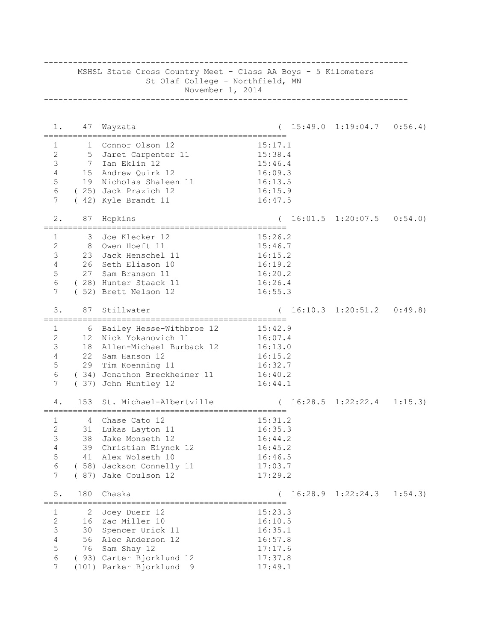| MSHSL State Cross Country Meet - Class AA Boys - 5 Kilometers<br>St Olaf College - Northfield, MN<br>November 1, 2014 |     |                                                      |         |  |                                        |         |
|-----------------------------------------------------------------------------------------------------------------------|-----|------------------------------------------------------|---------|--|----------------------------------------|---------|
| 1.                                                                                                                    | 47  | Wayzata                                              |         |  | $15:49.0 \quad 1:19:04.7 \quad 0:56.4$ |         |
| 1                                                                                                                     |     | 1 Connor Olson 12                                    | 15:17.1 |  |                                        |         |
| $\mathbf{2}$                                                                                                          |     | 5 Jaret Carpenter 11                                 | 15:38.4 |  |                                        |         |
| $\mathfrak{Z}$                                                                                                        |     | 7 Ian Eklin 12                                       | 15:46.4 |  |                                        |         |
| $\overline{4}$                                                                                                        |     | 15 Andrew Quirk 12                                   | 16:09.3 |  |                                        |         |
| 5                                                                                                                     |     | 19 Nicholas Shaleen 11                               | 16:13.5 |  |                                        |         |
| 6                                                                                                                     |     | (25) Jack Prazich 12                                 | 16:15.9 |  |                                        |         |
| $7\phantom{.0}$                                                                                                       |     | (42) Kyle Brandt 11                                  | 16:47.5 |  |                                        |         |
| 2.                                                                                                                    |     | 87 Hopkins                                           |         |  | $16:01.5$ $1:20:07.5$ $0:54.0$         |         |
| 1                                                                                                                     |     | 3 Joe Klecker 12                                     | 15:26.2 |  |                                        |         |
| 2                                                                                                                     |     | 8 Owen Hoeft 11                                      | 15:46.7 |  |                                        |         |
| 3                                                                                                                     |     | 23 Jack Henschel 11                                  | 16:15.2 |  |                                        |         |
| $\overline{4}$                                                                                                        |     | 26 Seth Eliason 10                                   | 16:19.2 |  |                                        |         |
| 5                                                                                                                     |     | 27 Sam Branson 11                                    | 16:20.2 |  |                                        |         |
| 6                                                                                                                     |     | (28) Hunter Staack 11                                | 16:26.4 |  |                                        |         |
| 7                                                                                                                     |     | (52) Brett Nelson 12                                 | 16:55.3 |  |                                        |         |
| 3.                                                                                                                    | 87  | Stillwater<br>______________________________________ |         |  | $16:10.3$ $1:20:51.2$ $0:49.8$         |         |
| $\mathbf{1}$                                                                                                          |     | 6 Bailey Hesse-Withbroe 12                           | 15:42.9 |  |                                        |         |
| $\overline{c}$                                                                                                        | 12  | Nick Yokanovich 11                                   | 16:07.4 |  |                                        |         |
| 3                                                                                                                     |     | 18 Allen-Michael Burback 12                          | 16:13.0 |  |                                        |         |
| $\overline{4}$                                                                                                        | 22  | Sam Hanson 12                                        | 16:15.2 |  |                                        |         |
| 5                                                                                                                     |     | 29 Tim Koenning 11                                   | 16:32.7 |  |                                        |         |
| $6\,$                                                                                                                 |     | (34) Jonathon Breckheimer 11                         | 16:40.2 |  |                                        |         |
| 7                                                                                                                     |     | (37) John Huntley 12                                 | 16:44.1 |  |                                        |         |
| 4.                                                                                                                    | 153 | St. Michael-Albertville                              |         |  | 16:28.5 1:22:22.4                      | 1:15.3  |
| 1                                                                                                                     |     | 4 Chase Cato 12                                      | 15:31.2 |  |                                        |         |
| 2                                                                                                                     | 31  | Lukas Layton 11                                      | 16:35.3 |  |                                        |         |
| 3                                                                                                                     |     | 38 Jake Monseth 12                                   | 16:44.2 |  |                                        |         |
| $\overline{4}$                                                                                                        |     | 39 Christian Eiynck 12                               | 16:45.2 |  |                                        |         |
| 5                                                                                                                     |     | 41 Alex Wolseth 10                                   | 16:46.5 |  |                                        |         |
| 6                                                                                                                     |     | (58) Jackson Connelly 11                             | 17:03.7 |  |                                        |         |
| 7                                                                                                                     |     | ( 87) Jake Coulson 12                                | 17:29.2 |  |                                        |         |
| 5.                                                                                                                    | 180 | Chaska                                               |         |  | $16:28.9$ $1:22:24.3$                  | 1:54.3) |
| 1                                                                                                                     | 2   | Joey Duerr 12                                        | 15:23.3 |  |                                        |         |
| $\mathbf{2}$                                                                                                          |     | 16 Zac Miller 10                                     | 16:10.5 |  |                                        |         |
| $\mathsf S$                                                                                                           |     | 30 Spencer Urick 11                                  | 16:35.1 |  |                                        |         |
| $\sqrt{4}$                                                                                                            |     | 56 Alec Anderson 12                                  | 16:57.8 |  |                                        |         |
| $\mathsf S$                                                                                                           |     | 76 Sam Shay 12                                       | 17:17.6 |  |                                        |         |
| $\epsilon$                                                                                                            |     | ( 93) Carter Bjorklund 12                            | 17:37.8 |  |                                        |         |
| $\overline{7}$                                                                                                        |     | (101) Parker Bjorklund<br>- 9                        | 17:49.1 |  |                                        |         |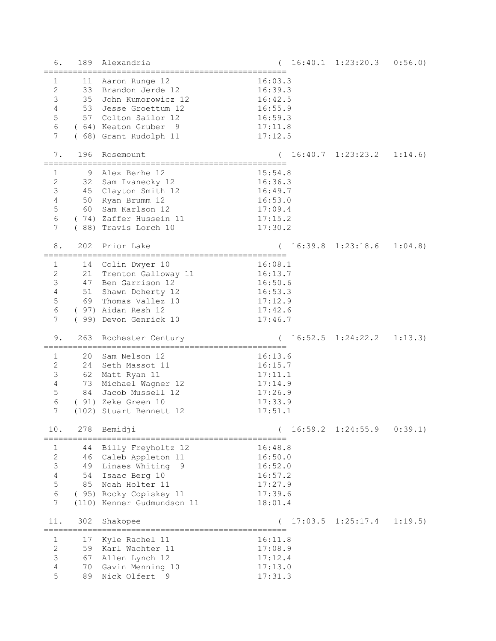| 6.                                                                                                    | 189                        | Alexandria                                                                                                                                                       |                                                                           | 16:40.1 1:23:20.3                      | 0:56.0  |
|-------------------------------------------------------------------------------------------------------|----------------------------|------------------------------------------------------------------------------------------------------------------------------------------------------------------|---------------------------------------------------------------------------|----------------------------------------|---------|
| $\mathbf{1}$<br>$\sqrt{2}$<br>$\mathfrak{Z}$<br>$\sqrt{4}$<br>5<br>$\sqrt{6}$<br>7                    | 35<br>53                   | 11 Aaron Runge 12<br>33 Brandon Jerde 12<br>John Kumorowicz 12<br>Jesse Groettum 12<br>57 Colton Sailor 12<br>(64) Keaton Gruber<br>- 9<br>(68) Grant Rudolph 11 | 16:03.3<br>16:39.3<br>16:42.5<br>16:55.9<br>16:59.3<br>17:11.8<br>17:12.5 |                                        |         |
| 7.                                                                                                    | 196                        | Rosemount                                                                                                                                                        |                                                                           | $16:40.7 \quad 1:23:23.2 \quad 1:14.6$ |         |
| 1<br>$\sqrt{2}$<br>$\mathfrak{Z}$<br>$\sqrt{4}$<br>$\mathsf S$<br>$\sqrt{6}$<br>7                     | 9<br>32<br>60              | Alex Berhe 12<br>Sam Ivanecky 12<br>45 Clayton Smith 12<br>50 Ryan Brumm 12<br>Sam Karlson 12<br>(74) Zaffer Hussein 11<br>(88) Travis Lorch 10                  | 15:54.8<br>16:36.3<br>16:49.7<br>16:53.0<br>17:09.4<br>17:15.2<br>17:30.2 |                                        |         |
| 8.                                                                                                    | 202                        | Prior Lake                                                                                                                                                       |                                                                           | $16:39.8$ $1:23:18.6$                  | 1:04.8  |
| $\mathbf{1}$<br>$\sqrt{2}$<br>$\mathfrak{Z}$<br>$\sqrt{4}$<br>$\mathsf S$<br>$6\,$<br>$7\phantom{.0}$ | 21<br>69                   | 14 Colin Dwyer 10<br>Trenton Galloway 11<br>47 Ben Garrison 12<br>51 Shawn Doherty 12<br>Thomas Vallez 10<br>(97) Aidan Resh 12<br>(99) Devon Genrick 10         | 16:08.1<br>16:13.7<br>16:50.6<br>16:53.3<br>17:12.9<br>17:42.6<br>17:46.7 |                                        |         |
| 9.                                                                                                    | 263                        | Rochester Century<br>=============================                                                                                                               |                                                                           | 16:52.5 1:24:22.2                      | 1:13.3) |
| $\mathbf{1}$<br>$\sqrt{2}$<br>$\mathsf 3$<br>$\sqrt{4}$<br>5<br>$\epsilon$<br>7                       | 20<br>24<br>73<br>84       | Sam Nelson 12<br>Seth Massot 11<br>62 Matt Ryan 11<br>Michael Wagner 12<br>Jacob Mussell 12<br>( 91) Zeke Green 10<br>(102) Stuart Bennett 12                    | 16:13.6<br>16:15.7<br>17:11.1<br>17:14.9<br>17:26.9<br>17:33.9<br>17:51.1 |                                        |         |
| 10.                                                                                                   | 278                        | Bemidji<br>------------------------------------                                                                                                                  |                                                                           | $16:59.2 \quad 1:24:55.9$              | 0:39.1  |
| =======<br>1<br>$\sqrt{2}$<br>$\mathcal{S}$<br>$\sqrt{4}$<br>5<br>6<br>7                              | 44<br>46<br>49<br>54<br>85 | Billy Freyholtz 12<br>Caleb Appleton 11<br>Linaes Whiting<br>9<br>Isaac Berg 10<br>Noah Holter 11<br>( 95) Rocky Copiskey 11<br>(110) Kenner Gudmundson 11       | 16:48.8<br>16:50.0<br>16:52.0<br>16:57.2<br>17:27.9<br>17:39.6<br>18:01.4 |                                        |         |
| 11.                                                                                                   | 302                        | Shakopee<br>_____________________________________                                                                                                                |                                                                           | $17:03.5$ $1:25:17.4$                  | 1:19.5  |
| 1<br>$\sqrt{2}$<br>$\mathsf 3$<br>$\sqrt{4}$<br>5                                                     | 17<br>59<br>67<br>70<br>89 | Kyle Rachel 11<br>Karl Wachter 11<br>Allen Lynch 12<br>Gavin Menning 10<br>Nick Olfert 9                                                                         | 16:11.8<br>17:08.9<br>17:12.4<br>17:13.0<br>17:31.3                       |                                        |         |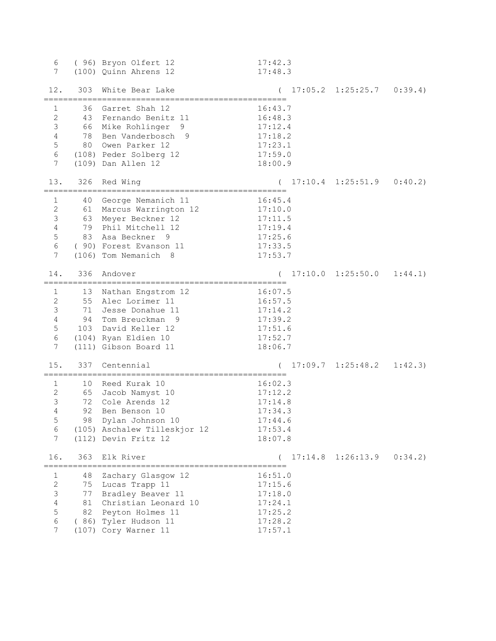| 6<br>7                                                                                       |                | ( 96) Bryon Olfert 12<br>(100) Quinn Ahrens 12                                                                                                                          | 17:42.3<br>17:48.3                                                        |                       |         |
|----------------------------------------------------------------------------------------------|----------------|-------------------------------------------------------------------------------------------------------------------------------------------------------------------------|---------------------------------------------------------------------------|-----------------------|---------|
| 12.                                                                                          |                | 303 White Bear Lake<br>.=============================<br>=====================                                                                                          |                                                                           | $17:05.2$ $1:25:25.7$ | 0:39.4  |
| 1<br>$\mathbf{2}$<br>$\mathsf 3$<br>$\sqrt{4}$<br>$\mathsf S$<br>$\epsilon$<br>7             |                | 36 Garret Shah 12<br>43 Fernando Benitz 11<br>66 Mike Rohlinger<br>9<br>78 Ben Vanderbosch 9<br>80 Owen Parker 12<br>(108) Peder Solberg 12<br>(109) Dan Allen 12       | 16:43.7<br>16:48.3<br>17:12.4<br>17:18.2<br>17:23.1<br>17:59.0<br>18:00.9 |                       |         |
| 13.                                                                                          | 326            | Red Wing                                                                                                                                                                |                                                                           | $17:10.4$ $1:25:51.9$ | 0:40.2  |
| 1<br>$\sqrt{2}$<br>$\mathsf 3$<br>$\sqrt{4}$<br>$\mathsf S$<br>6<br>7                        | 40             | George Nemanich 11<br>61 Marcus Warrington 12<br>63 Meyer Beckner 12<br>79 Phil Mitchell 12<br>83 Asa Beckner 9<br>( 90) Forest Evanson 11<br>(106) Tom Nemanich<br>- 8 | 16:45.4<br>17:10.0<br>17:11.5<br>17:19.4<br>17:25.6<br>17:33.5<br>17:53.7 |                       |         |
| 14.                                                                                          | 336            | Andover                                                                                                                                                                 |                                                                           | $17:10.0$ $1:25:50.0$ | 1:44.1  |
| $\mathbf{1}$<br>$\sqrt{2}$<br>$\mathfrak{Z}$<br>$\sqrt{4}$<br>$\mathsf S$<br>$\epsilon$<br>7 |                | 13 Nathan Engstrom 12<br>55 Alec Lorimer 11<br>71 Jesse Donahue 11<br>94 Tom Breuckman 9<br>103 David Keller 12<br>(104) Ryan Eldien 10<br>(111) Gibson Board 11        | 16:07.5<br>16:57.5<br>17:14.2<br>17:39.2<br>17:51.6<br>17:52.7<br>18:06.7 |                       |         |
| 15.                                                                                          |                | 337 Centennial                                                                                                                                                          |                                                                           | $17:09.7$ $1:25:48.2$ | 1:42.3) |
| $\mathbf{1}$<br>$\sqrt{2}$<br>$\mathfrak{Z}$<br>4<br>5<br>6<br>7                             | 92             | 10 Reed Kurak 10<br>65 Jacob Namyst 10<br>72 Cole Arends 12<br>Ben Benson 10<br>98 Dylan Johnson 10<br>(105) Aschalew Tilleskjor 12<br>(112) Devin Fritz 12             | 16:02.3<br>17:12.2<br>17:14.8<br>17:34.3<br>17:44.6<br>17:53.4<br>18:07.8 |                       |         |
| 16.                                                                                          | 363            | Elk River                                                                                                                                                               |                                                                           | $17:14.8$ $1:26:13.9$ | 0:34.2) |
| 1<br>$\mathbf{2}$<br>$\mathsf 3$<br>$\sqrt{4}$<br>$\mathsf S$<br>$\epsilon$<br>7             | 48<br>75<br>77 | Zachary Glasgow 12<br>Lucas Trapp 11<br>Bradley Beaver 11<br>81 Christian Leonard 10<br>82 Peyton Holmes 11<br>( 86) Tyler Hudson 11<br>(107) Cory Warner 11            | 16:51.0<br>17:15.6<br>17:18.0<br>17:24.1<br>17:25.2<br>17:28.2<br>17:57.1 |                       |         |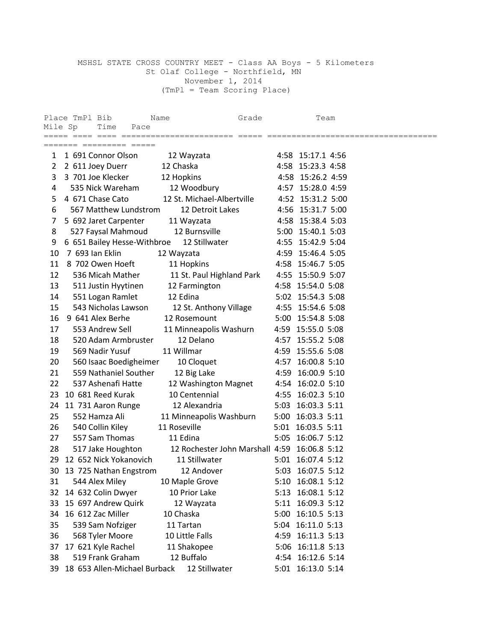## MSHSL STATE CROSS COUNTRY MEET - Class AA Boys - 5 Kilometers St Olaf College - Northfield, MN November 1, 2014 (TmPl = Team Scoring Place)

| Mile Sp        | Place TmPl Bib<br>Time<br>Pace | Grade<br>Name                                |      | Team              |  |
|----------------|--------------------------------|----------------------------------------------|------|-------------------|--|
|                | ======= ========= =====        |                                              |      |                   |  |
| $\mathbf{1}$   | 1 691 Connor Olson             | 12 Wayzata                                   |      | 4:58 15:17.1 4:56 |  |
| $\overline{2}$ | 2 611 Joey Duerr               | 12 Chaska                                    |      | 4:58 15:23.3 4:58 |  |
| 3              | 3 701 Joe Klecker              | 12 Hopkins                                   |      | 4:58 15:26.2 4:59 |  |
| 4              | 535 Nick Wareham               | 12 Woodbury                                  |      | 4:57 15:28.0 4:59 |  |
| 5              | 4 671 Chase Cato               | 12 St. Michael-Albertville                   |      | 4:52 15:31.2 5:00 |  |
| 6              | 567 Matthew Lundstrom          | 12 Detroit Lakes                             |      | 4:56 15:31.7 5:00 |  |
| 7              | 5 692 Jaret Carpenter          | 11 Wayzata                                   |      | 4:58 15:38.4 5:03 |  |
| 8              | 527 Faysal Mahmoud             | 12 Burnsville                                |      | 5:00 15:40.1 5:03 |  |
| 9              | 6 651 Bailey Hesse-Withbroe    | 12 Stillwater                                |      | 4:55 15:42.9 5:04 |  |
| 10             | 7 693 Ian Eklin                | 12 Wayzata                                   |      | 4:59 15:46.4 5:05 |  |
| 11             | 8 702 Owen Hoeft               | 11 Hopkins                                   |      | 4:58 15:46.7 5:05 |  |
| 12             | 536 Micah Mather               | 11 St. Paul Highland Park                    |      | 4:55 15:50.9 5:07 |  |
| 13             | 511 Justin Hyytinen            | 12 Farmington                                |      | 4:58 15:54.0 5:08 |  |
| 14             | 551 Logan Ramlet               | 12 Edina                                     |      | 5:02 15:54.3 5:08 |  |
| 15             | 543 Nicholas Lawson            | 12 St. Anthony Village                       |      | 4:55 15:54.6 5:08 |  |
| 16             | 9 641 Alex Berhe               | 12 Rosemount                                 |      | 5:00 15:54.8 5:08 |  |
| 17             | 553 Andrew Sell                | 11 Minneapolis Washurn                       |      | 4:59 15:55.0 5:08 |  |
| 18             | 520 Adam Armbruster            | 12 Delano                                    |      | 4:57 15:55.2 5:08 |  |
| 19             | 569 Nadir Yusuf                | 11 Willmar                                   |      | 4:59 15:55.6 5:08 |  |
| 20             | 560 Isaac Boedigheimer         | 10 Cloquet                                   |      | 4:57 16:00.8 5:10 |  |
| 21             | 559 Nathaniel Souther          | 12 Big Lake                                  |      | 4:59 16:00.9 5:10 |  |
| 22             | 537 Ashenafi Hatte             | 12 Washington Magnet                         |      | 4:54 16:02.0 5:10 |  |
| 23             | 10 681 Reed Kurak              | 10 Centennial                                |      | 4:55 16:02.3 5:10 |  |
| 24             | 11 731 Aaron Runge             | 12 Alexandria                                |      | 5:03 16:03.3 5:11 |  |
| 25             | 552 Hamza Ali                  | 11 Minneapolis Washburn                      |      | 5:00 16:03.3 5:11 |  |
| 26             | 540 Collin Kiley               | 11 Roseville                                 |      | 5:01 16:03.5 5:11 |  |
| 27             | 557 Sam Thomas                 | 11 Edina                                     |      | 5:05 16:06.7 5:12 |  |
| 28             | 517 Jake Houghton              | 12 Rochester John Marshall 4:59 16:06.8 5:12 |      |                   |  |
| 29             | 12 652 Nick Yokanovich         | 11 Stillwater                                |      | 5:01 16:07.4 5:12 |  |
| 30             | 13 725 Nathan Engstrom         | 12 Andover                                   |      | 5:03 16:07.5 5:12 |  |
| 31             | 544 Alex Miley                 | 10 Maple Grove                               |      | 5:10 16:08.1 5:12 |  |
| 32             | 14 632 Colin Dwyer             | 10 Prior Lake                                | 5:13 | 16:08.1 5:12      |  |
| 33             | 15 697 Andrew Quirk            | 12 Wayzata                                   | 5:11 | 16:09.3 5:12      |  |
| 34             | 16 612 Zac Miller              | 10 Chaska                                    |      | 5:00 16:10.5 5:13 |  |
| 35             | 539 Sam Nofziger               | 11 Tartan                                    |      | 5:04 16:11.0 5:13 |  |
| 36             | 568 Tyler Moore                | 10 Little Falls                              |      | 4:59 16:11.3 5:13 |  |
| 37             | 17 621 Kyle Rachel             | 11 Shakopee                                  |      | 5:06 16:11.8 5:13 |  |
| 38             | 519 Frank Graham               | 12 Buffalo                                   |      | 4:54 16:12.6 5:14 |  |
| 39             | 18 653 Allen-Michael Burback   | 12 Stillwater                                |      | 5:01 16:13.0 5:14 |  |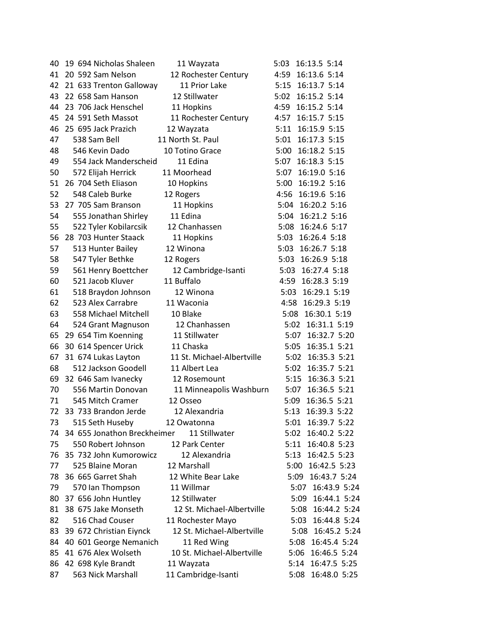| 40 | 19 694 Nicholas Shaleen        | 11 Wayzata                 | 16:13.5 5:14<br>5:03 |
|----|--------------------------------|----------------------------|----------------------|
| 41 | 20 592 Sam Nelson              | 12 Rochester Century       | 4:59 16:13.6 5:14    |
| 42 | 21 633 Trenton Galloway        | 11 Prior Lake              | 5:15 16:13.7 5:14    |
| 43 | 22 658 Sam Hanson              | 12 Stillwater              | 5:02 16:15.2 5:14    |
| 44 | 23 706 Jack Henschel           | 11 Hopkins                 | 4:59 16:15.2 5:14    |
| 45 | 24 591 Seth Massot             | 11 Rochester Century       | 4:57 16:15.7 5:15    |
| 46 | 25 695 Jack Prazich            | 12 Wayzata                 | 5:11 16:15.9 5:15    |
| 47 | 538 Sam Bell                   | 11 North St. Paul          | 5:01<br>16:17.3 5:15 |
| 48 | 546 Kevin Dado                 | 10 Totino Grace            | 5:00 16:18.2 5:15    |
| 49 | 554 Jack Manderscheid          | 11 Edina                   | 16:18.3 5:15<br>5:07 |
| 50 | 572 Elijah Herrick             | 11 Moorhead                | 16:19.0 5:16<br>5:07 |
| 51 | 26 704 Seth Eliason            | 10 Hopkins                 | 5:00<br>16:19.2 5:16 |
| 52 | 548 Caleb Burke                | 12 Rogers                  | 4:56 16:19.6 5:16    |
| 53 | 27 705 Sam Branson             | 11 Hopkins                 | 5:04 16:20.2 5:16    |
| 54 | 555 Jonathan Shirley           | 11 Edina                   | 5:04 16:21.2 5:16    |
| 55 | 522 Tyler Kobilarcsik          | 12 Chanhassen              | 5:08 16:24.6 5:17    |
| 56 | 28 703 Hunter Staack           |                            | 5:03<br>16:26.4 5:18 |
|    |                                | 11 Hopkins<br>12 Winona    |                      |
| 57 | 513 Hunter Bailey              |                            | 5:03 16:26.7 5:18    |
| 58 | 547 Tyler Bethke               | 12 Rogers                  | 5:03 16:26.9 5:18    |
| 59 | 561 Henry Boettcher            | 12 Cambridge-Isanti        | 5:03 16:27.4 5:18    |
| 60 | 521 Jacob Kluver               | 11 Buffalo                 | 4:59 16:28.3 5:19    |
| 61 | 518 Braydon Johnson            | 12 Winona                  | 5:03 16:29.1 5:19    |
| 62 | 523 Alex Carrabre              | 11 Waconia                 | 4:58 16:29.3 5:19    |
| 63 | 558 Michael Mitchell           | 10 Blake                   | 5:08 16:30.1 5:19    |
| 64 | 524 Grant Magnuson             | 12 Chanhassen              | 5:02 16:31.1 5:19    |
| 65 | 29 654 Tim Koenning            | 11 Stillwater              | 5:07 16:32.7 5:20    |
| 66 | 30 614 Spencer Urick           | 11 Chaska                  | 16:35.1 5:21<br>5:05 |
| 67 | 31 674 Lukas Layton            | 11 St. Michael-Albertville | 16:35.3 5:21<br>5:02 |
| 68 | 512 Jackson Goodell            | 11 Albert Lea              | 16:35.7 5:21<br>5:02 |
| 69 | 32 646 Sam Ivanecky            | 12 Rosemount               | 5:15 16:36.3 5:21    |
| 70 | 556 Martin Donovan             | 11 Minneapolis Washburn    | 5:07 16:36.5 5:21    |
| 71 | 545 Mitch Cramer               | 12 Osseo                   | 16:36.5 5:21<br>5:09 |
| 72 | 33 733 Brandon Jerde           | 12 Alexandria              | 16:39.3 5:22<br>5:13 |
| 73 | 515 Seth Huseby                | 12 Owatonna                | 5:01 16:39.7 5:22    |
|    | 74 34 655 Jonathon Breckheimer | 11 Stillwater              | 5:02 16:40.2 5:22    |
| 75 | 550 Robert Johnson             | 12 Park Center             | 16:40.8 5:23<br>5:11 |
| 76 | 35 732 John Kumorowicz         | 12 Alexandria              | 16:42.5 5:23<br>5:13 |
| 77 | 525 Blaine Moran               | 12 Marshall                | 5:00 16:42.5 5:23    |
| 78 | 36 665 Garret Shah             | 12 White Bear Lake         | 5:09 16:43.7 5:24    |
| 79 | 570 Ian Thompson               | 11 Willmar                 | 5:07 16:43.9 5:24    |
| 80 | 37 656 John Huntley            | 12 Stillwater              | 16:44.1 5:24<br>5:09 |
| 81 | 38 675 Jake Monseth            | 12 St. Michael-Albertville | 5:08 16:44.2 5:24    |
| 82 | 516 Chad Couser                | 11 Rochester Mayo          | 5:03 16:44.8 5:24    |
| 83 | 39 672 Christian Eiynck        | 12 St. Michael-Albertville | 5:08 16:45.2 5:24    |
| 84 | 40 601 George Nemanich         | 11 Red Wing                | 16:45.4 5:24<br>5:08 |
| 85 | 41 676 Alex Wolseth            | 10 St. Michael-Albertville | 5:06 16:46.5 5:24    |
| 86 | 42 698 Kyle Brandt             | 11 Wayzata                 | 5:14 16:47.5 5:25    |
| 87 | 563 Nick Marshall              | 11 Cambridge-Isanti        | 5:08 16:48.0 5:25    |
|    |                                |                            |                      |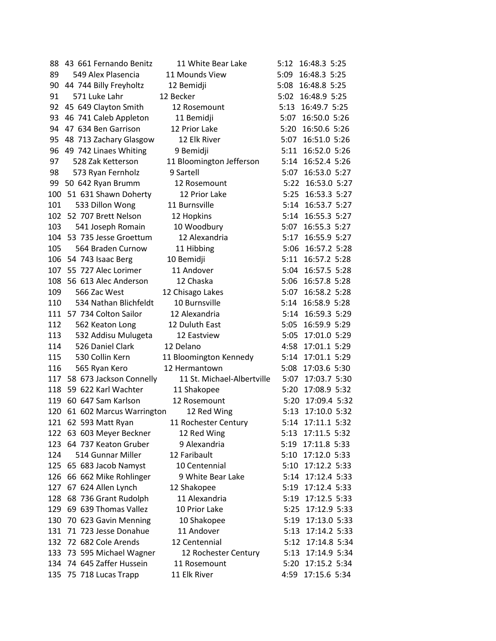| 88  | 43 661 Fernando Benitz       | 11 White Bear Lake         |      | 5:12 16:48.3 5:25 |  |
|-----|------------------------------|----------------------------|------|-------------------|--|
| 89  | 549 Alex Plasencia           | 11 Mounds View             |      | 5:09 16:48.3 5:25 |  |
|     | 90 44 744 Billy Freyholtz    | 12 Bemidji                 |      | 5:08 16:48.8 5:25 |  |
| 91  | 571 Luke Lahr                | 12 Becker                  |      | 5:02 16:48.9 5:25 |  |
|     | 92 45 649 Clayton Smith      | 12 Rosemount               |      | 5:13 16:49.7 5:25 |  |
|     | 93 46 741 Caleb Appleton     | 11 Bemidji                 |      | 5:07 16:50.0 5:26 |  |
| 94  | 47 634 Ben Garrison          | 12 Prior Lake              |      | 5:20 16:50.6 5:26 |  |
| 95  | 48 713 Zachary Glasgow       | 12 Elk River               |      | 5:07 16:51.0 5:26 |  |
|     | 96 49 742 Linaes Whiting     | 9 Bemidji                  |      | 5:11 16:52.0 5:26 |  |
| 97  | 528 Zak Ketterson            | 11 Bloomington Jefferson   |      | 5:14 16:52.4 5:26 |  |
| 98  | 573 Ryan Fernholz            | 9 Sartell                  | 5:07 | 16:53.0 5:27      |  |
|     | 99 50 642 Ryan Brumm         | 12 Rosemount               |      | 5:22 16:53.0 5:27 |  |
|     | 100 51 631 Shawn Doherty     | 12 Prior Lake              |      | 5:25 16:53.3 5:27 |  |
| 101 | 533 Dillon Wong              | 11 Burnsville              |      | 5:14 16:53.7 5:27 |  |
|     | 102 52 707 Brett Nelson      | 12 Hopkins                 |      | 5:14 16:55.3 5:27 |  |
| 103 | 541 Joseph Romain            | 10 Woodbury                |      | 5:07 16:55.3 5:27 |  |
|     | 104 53 735 Jesse Groettum    | 12 Alexandria              | 5:17 | 16:55.9 5:27      |  |
| 105 | 564 Braden Curnow            | 11 Hibbing                 |      | 5:06 16:57.2 5:28 |  |
|     | 106 54 743 Isaac Berg        | 10 Bemidji                 |      | 5:11 16:57.2 5:28 |  |
|     | 107 55 727 Alec Lorimer      | 11 Andover                 |      | 5:04 16:57.5 5:28 |  |
|     | 108 56 613 Alec Anderson     | 12 Chaska                  |      | 5:06 16:57.8 5:28 |  |
| 109 | 566 Zac West                 | 12 Chisago Lakes           |      | 5:07 16:58.2 5:28 |  |
| 110 | 534 Nathan Blichfeldt        | 10 Burnsville              |      | 5:14 16:58.9 5:28 |  |
|     | 111 57 734 Colton Sailor     | 12 Alexandria              |      | 5:14 16:59.3 5:29 |  |
|     |                              |                            |      |                   |  |
| 112 | 562 Keaton Long              | 12 Duluth East             |      | 5:05 16:59.9 5:29 |  |
|     | 113 532 Addisu Mulugeta      | 12 Eastview                |      | 5:05 17:01.0 5:29 |  |
|     | 114 526 Daniel Clark         | 12 Delano                  |      | 4:58 17:01.1 5:29 |  |
| 115 | 530 Collin Kern              | 11 Bloomington Kennedy     |      | 5:14 17:01.1 5:29 |  |
| 116 | 565 Ryan Kero                | 12 Hermantown              |      | 5:08 17:03.6 5:30 |  |
|     | 117 58 673 Jackson Connelly  | 11 St. Michael-Albertville |      | 5:07 17:03.7 5:30 |  |
|     | 118 59 622 Karl Wachter      | 11 Shakopee                |      | 5:20 17:08.9 5:32 |  |
|     | 119 60 647 Sam Karlson       | 12 Rosemount               |      | 5:20 17:09.4 5:32 |  |
|     | 120 61 602 Marcus Warrington | 12 Red Wing                |      | 5:13 17:10.0 5:32 |  |
|     | 121 62 593 Matt Ryan         | 11 Rochester Century       |      | 5:14 17:11.1 5:32 |  |
|     | 122 63 603 Meyer Beckner     | 12 Red Wing                |      | 5:13 17:11.5 5:32 |  |
|     | 123 64 737 Keaton Gruber     | 9 Alexandria               |      | 5:19 17:11.8 5:33 |  |
| 124 | 514 Gunnar Miller            | 12 Faribault               |      | 5:10 17:12.0 5:33 |  |
|     | 125 65 683 Jacob Namyst      | 10 Centennial              |      | 5:10 17:12.2 5:33 |  |
|     | 126 66 662 Mike Rohlinger    | 9 White Bear Lake          |      | 5:14 17:12.4 5:33 |  |
|     | 127 67 624 Allen Lynch       | 12 Shakopee                |      | 5:19 17:12.4 5:33 |  |
|     | 128 68 736 Grant Rudolph     | 11 Alexandria              |      | 5:19 17:12.5 5:33 |  |
|     | 129 69 639 Thomas Vallez     | 10 Prior Lake              |      | 5:25 17:12.9 5:33 |  |
| 130 | 70 623 Gavin Menning         | 10 Shakopee                |      | 5:19 17:13.0 5:33 |  |
| 131 | 71 723 Jesse Donahue         | 11 Andover                 |      | 5:13 17:14.2 5:33 |  |
| 132 | 72 682 Cole Arends           | 12 Centennial              |      | 5:12 17:14.8 5:34 |  |
| 133 | 73 595 Michael Wagner        | 12 Rochester Century       |      | 5:13 17:14.9 5:34 |  |
|     | 134 74 645 Zaffer Hussein    | 11 Rosemount               |      | 5:20 17:15.2 5:34 |  |
|     | 135 75 718 Lucas Trapp       | 11 Elk River               |      | 4:59 17:15.6 5:34 |  |